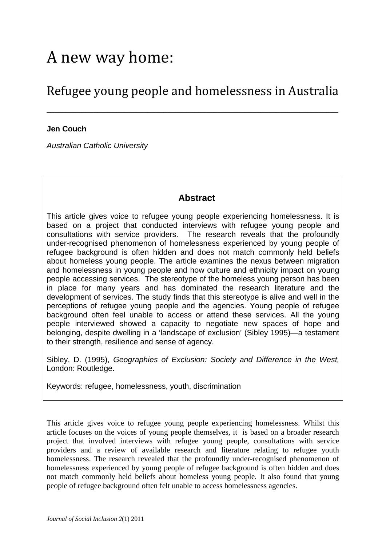# A new way home:

## Refugee young people and homelessness in Australia

**\_\_\_\_\_\_\_\_\_\_\_\_\_\_\_\_\_\_\_\_\_\_\_\_\_\_\_\_\_\_\_\_\_\_\_\_\_\_\_\_\_\_\_\_\_\_\_\_\_\_\_\_\_\_\_\_\_\_\_\_\_\_\_\_\_\_\_\_\_\_\_\_\_\_\_**

## **Jen Couch**

*Australian Catholic University*

## **Abstract**

This article gives voice to refugee young people experiencing homelessness. It is based on a project that conducted interviews with refugee young people and consultations with service providers. The research reveals that the profoundly under-recognised phenomenon of homelessness experienced by young people of refugee background is often hidden and does not match commonly held beliefs about homeless young people. The article examines the nexus between migration and homelessness in young people and how culture and ethnicity impact on young people accessing services. The stereotype of the homeless young person has been in place for many years and has dominated the research literature and the development of services. The study finds that this stereotype is alive and well in the perceptions of refugee young people and the agencies. Young people of refugee background often feel unable to access or attend these services. All the young people interviewed showed a capacity to negotiate new spaces of hope and belonging, despite dwelling in a 'landscape of exclusion' (Sibley 1995)—a testament to their strength, resilience and sense of agency.

Sibley, D. (1995), *Geographies of Exclusion: Society and Difference in the West,* London: Routledge.

Keywords: refugee, homelessness, youth, discrimination

This article gives voice to refugee young people experiencing homelessness. Whilst this article focuses on the voices of young people themselves, it is based on a broader research project that involved interviews with refugee young people, consultations with service providers and a review of available research and literature relating to refugee youth homelessness. The research revealed that the profoundly under-recognised phenomenon of homelessness experienced by young people of refugee background is often hidden and does not match commonly held beliefs about homeless young people. It also found that young people of refugee background often felt unable to access homelessness agencies.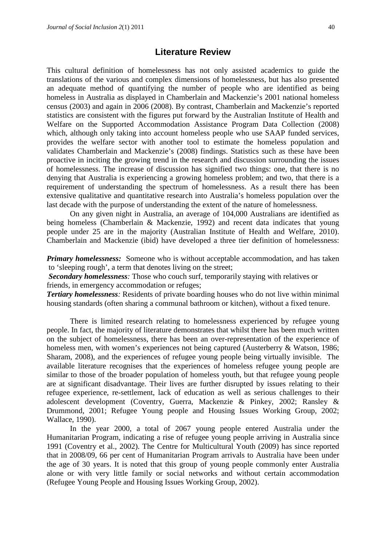## **Literature Review**

This cultural definition of homelessness has not only assisted academics to guide the translations of the various and complex dimensions of homelessness, but has also presented an adequate method of quantifying the number of people who are identified as being homeless in Australia as displayed in Chamberlain and Mackenzie's 2001 national homeless census (2003) and again in 2006 (2008). By contrast, Chamberlain and Mackenzie's reported statistics are consistent with the figures put forward by the Australian Institute of Health and Welfare on the Supported Accommodation Assistance Program Data Collection (2008) which, although only taking into account homeless people who use SAAP funded services, provides the welfare sector with another tool to estimate the homeless population and validates Chamberlain and Mackenzie's (2008) findings. Statistics such as these have been proactive in inciting the growing trend in the research and discussion surrounding the issues of homelessness. The increase of discussion has signified two things: one, that there is no denying that Australia is experiencing a growing homeless problem; and two, that there is a requirement of understanding the spectrum of homelessness. As a result there has been extensive qualitative and quantitative research into Australia's homeless population over the last decade with the purpose of understanding the extent of the nature of homelessness.

On any given night in Australia, an average of 104,000 Australians are identified as being homeless (Chamberlain & Mackenzie, 1992) and recent data indicates that young people under 25 are in the majority (Australian Institute of Health and Welfare, 2010). Chamberlain and Mackenzie (ibid) have developed a three tier definition of homelessness:

*Primary homelessness:* Someone who is without acceptable accommodation, and has taken to 'sleeping rough', a term that denotes living on the street;

*Secondary homelessness:* Those who couch surf, temporarily staying with relatives or friends, in emergency accommodation or refuges;

*Tertiary homelessness:* Residents of private boarding houses who do not live within minimal housing standards (often sharing a communal bathroom or kitchen), without a fixed tenure.

There is limited research relating to homelessness experienced by refugee young people. In fact, the majority of literature demonstrates that whilst there has been much written on the subject of homelessness, there has been an over-representation of the experience of homeless men, with women's experiences not being captured (Austerberry & Watson, 1986; Sharam, 2008), and the experiences of refugee young people being virtually invisible. The available literature recognises that the experiences of homeless refugee young people are similar to those of the broader population of homeless youth, but that refugee young people are at significant disadvantage. Their lives are further disrupted by issues relating to their refugee experience, re-settlement, lack of education as well as serious challenges to their adolescent development (Coventry, Guerra, Mackenzie & Pinkey, 2002; Ransley & Drummond, 2001; Refugee Young people and Housing Issues Working Group, 2002; Wallace, 1990).

In the year 2000, a total of 2067 young people entered Australia under the Humanitarian Program, indicating a rise of refugee young people arriving in Australia since 1991 (Coventry et al., 2002). The Centre for Multicultural Youth (2009) has since reported that in 2008/09, 66 per cent of Humanitarian Program arrivals to Australia have been under the age of 30 years. It is noted that this group of young people commonly enter Australia alone or with very little family or social networks and without certain accommodation (Refugee Young People and Housing Issues Working Group, 2002).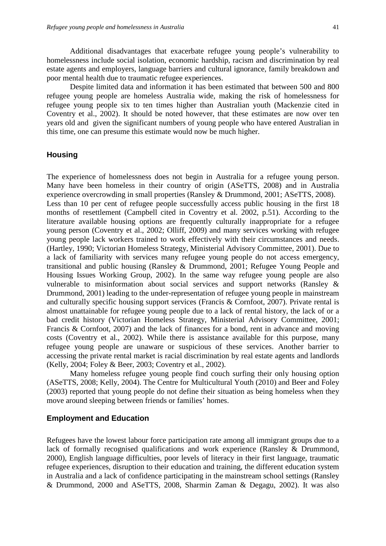Additional disadvantages that exacerbate refugee young people's vulnerability to homelessness include social isolation, economic hardship, racism and discrimination by real estate agents and employers, language barriers and cultural ignorance, family breakdown and poor mental health due to traumatic refugee experiences.

Despite limited data and information it has been estimated that between 500 and 800 refugee young people are homeless Australia wide, making the risk of homelessness for refugee young people six to ten times higher than Australian youth (Mackenzie cited in Coventry et al., 2002). It should be noted however, that these estimates are now over ten years old and given the significant numbers of young people who have entered Australian in this time, one can presume this estimate would now be much higher.

#### **Housing**

The experience of homelessness does not begin in Australia for a refugee young person. Many have been homeless in their country of origin (ASeTTS, 2008) and in Australia experience overcrowding in small properties (Ransley & Drummond, 2001; ASeTTS, 2008). Less than 10 per cent of refugee people successfully access public housing in the first 18 months of resettlement (Campbell cited in Coventry et al. 2002, p.51). According to the literature available housing options are frequently culturally inappropriate for a refugee young person (Coventry et al., 2002; Olliff, 2009) and many services working with refugee young people lack workers trained to work effectively with their circumstances and needs. (Hartley, 1990; Victorian Homeless Strategy, Ministerial Advisory Committee, 2001). Due to a lack of familiarity with services many refugee young people do not access emergency, transitional and public housing (Ransley & Drummond, 2001; Refugee Young People and Housing Issues Working Group, 2002). In the same way refugee young people are also vulnerable to misinformation about social services and support networks (Ransley & Drummond, 2001) leading to the under-representation of refugee young people in mainstream and culturally specific housing support services (Francis & Cornfoot, 2007). Private rental is almost unattainable for refugee young people due to a lack of rental history, the lack of or a bad credit history (Victorian Homeless Strategy, Ministerial Advisory Committee, 2001; Francis & Cornfoot, 2007) and the lack of finances for a bond, rent in advance and moving costs (Coventry et al., 2002). While there is assistance available for this purpose, many refugee young people are unaware or suspicious of these services. Another barrier to accessing the private rental market is racial discrimination by real estate agents and landlords (Kelly, 2004; Foley & Beer, 2003; Coventry et al., 2002).

Many homeless refugee young people find couch surfing their only housing option (ASeTTS, 2008; Kelly, 2004). The Centre for Multicultural Youth (2010) and Beer and Foley (2003) reported that young people do not define their situation as being homeless when they move around sleeping between friends or families' homes.

#### **Employment and Education**

Refugees have the lowest labour force participation rate among all immigrant groups due to a lack of formally recognised qualifications and work experience (Ransley & Drummond, 2000), English language difficulties, poor levels of literacy in their first language, traumatic refugee experiences, disruption to their education and training, the different education system in Australia and a lack of confidence participating in the mainstream school settings (Ransley & Drummond, 2000 and ASeTTS, 2008, Sharmin Zaman & Degagu, 2002). It was also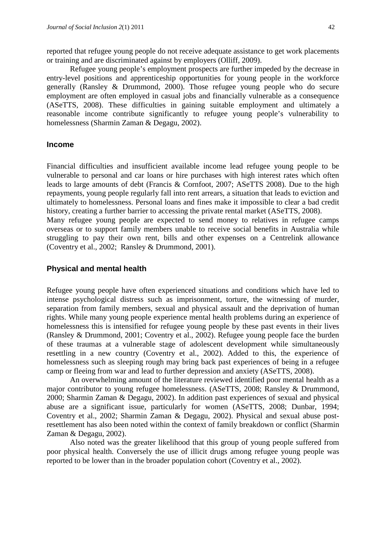reported that refugee young people do not receive adequate assistance to get work placements or training and are discriminated against by employers (Olliff, 2009).

Refugee young people's employment prospects are further impeded by the decrease in entry-level positions and apprenticeship opportunities for young people in the workforce generally (Ransley & Drummond, 2000). Those refugee young people who do secure employment are often employed in casual jobs and financially vulnerable as a consequence (ASeTTS, 2008). These difficulties in gaining suitable employment and ultimately a reasonable income contribute significantly to refugee young people's vulnerability to homelessness (Sharmin Zaman & Degagu, 2002).

#### **Income**

Financial difficulties and insufficient available income lead refugee young people to be vulnerable to personal and car loans or hire purchases with high interest rates which often leads to large amounts of debt (Francis & Cornfoot, 2007; ASeTTS 2008). Due to the high repayments, young people regularly fall into rent arrears, a situation that leads to eviction and ultimately to homelessness. Personal loans and fines make it impossible to clear a bad credit history, creating a further barrier to accessing the private rental market (ASeTTS, 2008).

Many refugee young people are expected to send money to relatives in refugee camps overseas or to support family members unable to receive social benefits in Australia while struggling to pay their own rent, bills and other expenses on a Centrelink allowance (Coventry et al., 2002; Ransley & Drummond, 2001).

## **Physical and mental health**

Refugee young people have often experienced situations and conditions which have led to intense psychological distress such as imprisonment, torture, the witnessing of murder, separation from family members, sexual and physical assault and the deprivation of human rights. While many young people experience mental health problems during an experience of homelessness this is intensified for refugee young people by these past events in their lives (Ransley & Drummond, 2001; Coventry et al., 2002). Refugee young people face the burden of these traumas at a vulnerable stage of adolescent development while simultaneously resettling in a new country (Coventry et al., 2002). Added to this, the experience of homelessness such as sleeping rough may bring back past experiences of being in a refugee camp or fleeing from war and lead to further depression and anxiety (ASeTTS, 2008).

An overwhelming amount of the literature reviewed identified poor mental health as a major contributor to young refugee homelessness. (ASeTTS, 2008; Ransley & Drummond, 2000; Sharmin Zaman & Degagu, 2002). In addition past experiences of sexual and physical abuse are a significant issue, particularly for women (ASeTTS, 2008; Dunbar, 1994; Coventry et al., 2002; Sharmin Zaman & Degagu, 2002). Physical and sexual abuse postresettlement has also been noted within the context of family breakdown or conflict (Sharmin Zaman & Degagu, 2002).

Also noted was the greater likelihood that this group of young people suffered from poor physical health. Conversely the use of illicit drugs among refugee young people was reported to be lower than in the broader population cohort (Coventry et al., 2002).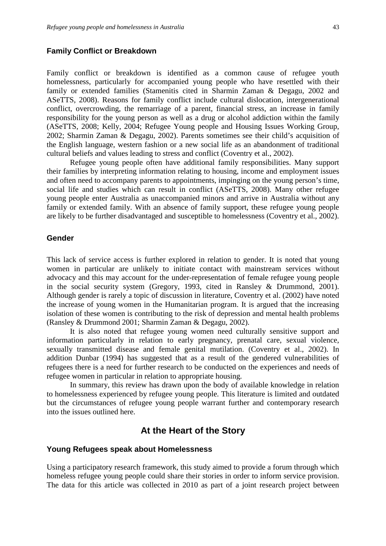#### **Family Conflict or Breakdown**

Family conflict or breakdown is identified as a common cause of refugee youth homelessness, particularly for accompanied young people who have resettled with their family or extended families (Stamenitis cited in Sharmin Zaman & Degagu, 2002 and ASeTTS, 2008). Reasons for family conflict include cultural dislocation, intergenerational conflict, overcrowding, the remarriage of a parent, financial stress, an increase in family responsibility for the young person as well as a drug or alcohol addiction within the family (ASeTTS, 2008; Kelly, 2004; Refugee Young people and Housing Issues Working Group, 2002; Sharmin Zaman & Degagu, 2002). Parents sometimes see their child's acquisition of the English language, western fashion or a new social life as an abandonment of traditional cultural beliefs and values leading to stress and conflict (Coventry et al., 2002).

Refugee young people often have additional family responsibilities. Many support their families by interpreting information relating to housing, income and employment issues and often need to accompany parents to appointments, impinging on the young person's time, social life and studies which can result in conflict (ASeTTS, 2008). Many other refugee young people enter Australia as unaccompanied minors and arrive in Australia without any family or extended family. With an absence of family support, these refugee young people are likely to be further disadvantaged and susceptible to homelessness (Coventry et al., 2002).

## **Gender**

This lack of service access is further explored in relation to gender. It is noted that young women in particular are unlikely to initiate contact with mainstream services without advocacy and this may account for the under-representation of female refugee young people in the social security system (Gregory, 1993, cited in Ransley & Drummond, 2001). Although gender is rarely a topic of discussion in literature, Coventry et al. (2002) have noted the increase of young women in the Humanitarian program. It is argued that the increasing isolation of these women is contributing to the risk of depression and mental health problems (Ransley & Drummond 2001; Sharmin Zaman & Degagu, 2002).

It is also noted that refugee young women need culturally sensitive support and information particularly in relation to early pregnancy, prenatal care, sexual violence, sexually transmitted disease and female genital mutilation. (Coventry et al., 2002). In addition Dunbar (1994) has suggested that as a result of the gendered vulnerabilities of refugees there is a need for further research to be conducted on the experiences and needs of refugee women in particular in relation to appropriate housing.

In summary, this review has drawn upon the body of available knowledge in relation to homelessness experienced by refugee young people. This literature is limited and outdated but the circumstances of refugee young people warrant further and contemporary research into the issues outlined here.

## **At the Heart of the Story**

#### **Young Refugees speak about Homelessness**

Using a participatory research framework, this study aimed to provide a forum through which homeless refugee young people could share their stories in order to inform service provision. The data for this article was collected in 2010 as part of a joint research project between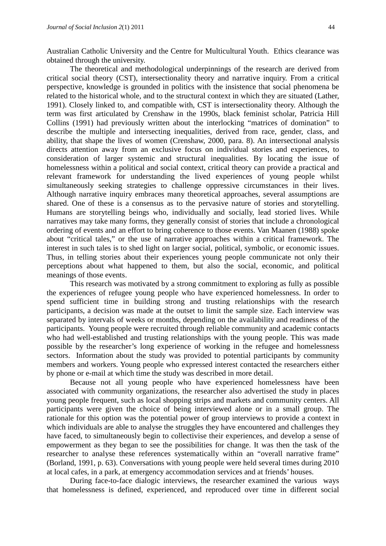Australian Catholic University and the Centre for Multicultural Youth. Ethics clearance was obtained through the university.

The theoretical and methodological underpinnings of the research are derived from critical social theory (CST), intersectionality theory and narrative inquiry. From a critical perspective, knowledge is grounded in politics with the insistence that social phenomena be related to the historical whole, and to the structural context in which they are situated (Lather, 1991). Closely linked to, and compatible with, CST is intersectionality theory. Although the term was first articulated by Crenshaw in the 1990s, black feminist scholar, Patricia Hill Collins (1991) had previously written about the interlocking "matrices of domination" to describe the multiple and intersecting inequalities, derived from race, gender, class, and ability, that shape the lives of women (Crenshaw, 2000, para. 8). An intersectional analysis directs attention away from an exclusive focus on individual stories and experiences, to consideration of larger systemic and structural inequalities. By locating the issue of homelessness within a political and social context, critical theory can provide a practical and relevant framework for understanding the lived experiences of young people whilst simultaneously seeking strategies to challenge oppressive circumstances in their lives. Although narrative inquiry embraces many theoretical approaches, several assumptions are shared. One of these is a consensus as to the pervasive nature of stories and storytelling. Humans are storytelling beings who, individually and socially, lead storied lives. While narratives may take many forms, they generally consist of stories that include a chronological ordering of events and an effort to bring coherence to those events. Van Maanen (1988) spoke about "critical tales," or the use of narrative approaches within a critical framework. The interest in such tales is to shed light on larger social, political, symbolic, or economic issues. Thus, in telling stories about their experiences young people communicate not only their perceptions about what happened to them, but also the social, economic, and political meanings of those events.

This research was motivated by a strong commitment to exploring as fully as possible the experiences of refugee young people who have experienced homelessness. In order to spend sufficient time in building strong and trusting relationships with the research participants, a decision was made at the outset to limit the sample size. Each interview was separated by intervals of weeks or months, depending on the availability and readiness of the participants. Young people were recruited through reliable community and academic contacts who had well-established and trusting relationships with the young people. This was made possible by the researcher's long experience of working in the refugee and homelessness sectors. Information about the study was provided to potential participants by community members and workers. Young people who expressed interest contacted the researchers either by phone or e-mail at which time the study was described in more detail.

Because not all young people who have experienced homelessness have been associated with community organizations, the researcher also advertised the study in places young people frequent, such as local shopping strips and markets and community centers. All participants were given the choice of being interviewed alone or in a small group. The rationale for this option was the potential power of group interviews to provide a context in which individuals are able to analyse the struggles they have encountered and challenges they have faced, to simultaneously begin to collectivise their experiences, and develop a sense of empowerment as they began to see the possibilities for change. It was then the task of the researcher to analyse these references systematically within an "overall narrative frame" (Borland, 1991, p. 63). Conversations with young people were held several times during 2010 at local cafes, in a park, at emergency accommodation services and at friends' houses.

During face-to-face dialogic interviews, the researcher examined the various ways that homelessness is defined, experienced, and reproduced over time in different social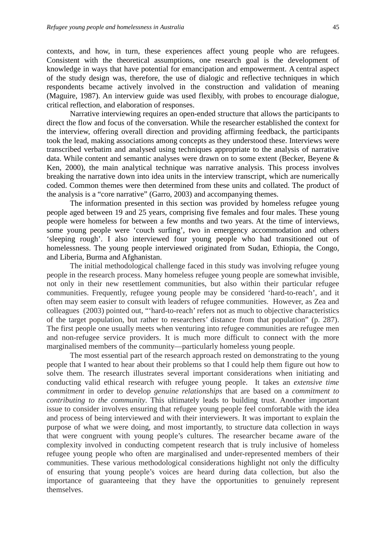contexts, and how, in turn, these experiences affect young people who are refugees. Consistent with the theoretical assumptions, one research goal is the development of knowledge in ways that have potential for emancipation and empowerment. A central aspect of the study design was, therefore, the use of dialogic and reflective techniques in which respondents became actively involved in the construction and validation of meaning (Maguire, 1987). An interview guide was used flexibly, with probes to encourage dialogue, critical reflection, and elaboration of responses.

Narrative interviewing requires an open-ended structure that allows the participants to direct the flow and focus of the conversation. While the researcher established the context for the interview, offering overall direction and providing affirming feedback, the participants took the lead, making associations among concepts as they understood these. Interviews were transcribed verbatim and analysed using techniques appropriate to the analysis of narrative data. While content and semantic analyses were drawn on to some extent (Becker, Beyene & Ken, 2000), the main analytical technique was narrative analysis. This process involves breaking the narrative down into idea units in the interview transcript, which are numerically coded. Common themes were then determined from these units and collated. The product of the analysis is a "core narrative" (Garro, 2003) and accompanying themes.

The information presented in this section was provided by homeless refugee young people aged between 19 and 25 years, comprising five females and four males. These young people were homeless for between a few months and two years. At the time of interviews, some young people were 'couch surfing', two in emergency accommodation and others 'sleeping rough'. I also interviewed four young people who had transitioned out of homelessness. The young people interviewed originated from Sudan, Ethiopia, the Congo, and Liberia, Burma and Afghanistan.

The initial methodological challenge faced in this study was involving refugee young people in the research process. Many homeless refugee young people are somewhat invisible, not only in their new resettlement communities, but also within their particular refugee communities. Frequently, refugee young people may be considered 'hard-to-reach', and it often may seem easier to consult with leaders of refugee communities. However, as Zea and colleagues (2003) pointed out, "'hard-to-reach' refers not as much to objective characteristics of the target population, but rather to researchers' distance from that population" (p. 287). The first people one usually meets when venturing into refugee communities are refugee men and non-refugee service providers. It is much more difficult to connect with the more marginalised members of the community—particularly homeless young people.

The most essential part of the research approach rested on demonstrating to the young people that I wanted to hear about their problems so that I could help them figure out how to solve them. The research illustrates several important considerations when initiating and conducting valid ethical research with refugee young people. It takes an *extensive time commitment* in order to develop *genuine relationships* that are based on a *commitment to contributing to the community*. This ultimately leads to building trust. Another important issue to consider involves ensuring that refugee young people feel comfortable with the idea and process of being interviewed and with their interviewers. It was important to explain the purpose of what we were doing, and most importantly, to structure data collection in ways that were congruent with young people's cultures. The researcher became aware of the complexity involved in conducting competent research that is truly inclusive of homeless refugee young people who often are marginalised and under-represented members of their communities. These various methodological considerations highlight not only the difficulty of ensuring that young people's voices are heard during data collection, but also the importance of guaranteeing that they have the opportunities to genuinely represent themselves.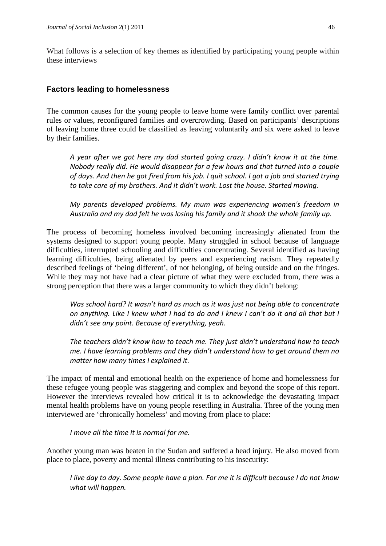What follows is a selection of key themes as identified by participating young people within these interviews

#### **Factors leading to homelessness**

The common causes for the young people to leave home were family conflict over parental rules or values, reconfigured families and overcrowding. Based on participants' descriptions of leaving home three could be classified as leaving voluntarily and six were asked to leave by their families.

*A year after we got here my dad started going crazy. I didn't know it at the time. Nobody really did. He would disappear for a few hours and that turned into a couple of days. And then he got fired from his job. I quit school. I got a job and started trying to take care of my brothers. And it didn't work. Lost the house. Started moving.*

*My parents developed problems. My mum was experiencing women's freedom in Australia and my dad felt he was losing his family and it shook the whole family up.*

The process of becoming homeless involved becoming increasingly alienated from the systems designed to support young people. Many struggled in school because of language difficulties, interrupted schooling and difficulties concentrating. Several identified as having learning difficulties, being alienated by peers and experiencing racism. They repeatedly described feelings of 'being different', of not belonging, of being outside and on the fringes. While they may not have had a clear picture of what they were excluded from, there was a strong perception that there was a larger community to which they didn't belong:

*Was school hard? It wasn't hard as much as it was just not being able to concentrate on anything. Like I knew what I had to do and I knew I can't do it and all that but I didn't see any point. Because of everything, yeah.*

*The teachers didn't know how to teach me. They just didn't understand how to teach me. I have learning problems and they didn't understand how to get around them no matter how many times I explained it.*

The impact of mental and emotional health on the experience of home and homelessness for these refugee young people was staggering and complex and beyond the scope of this report. However the interviews revealed how critical it is to acknowledge the devastating impact mental health problems have on young people resettling in Australia. Three of the young men interviewed are 'chronically homeless' and moving from place to place:

*I move all the time it is normal for me.* 

Another young man was beaten in the Sudan and suffered a head injury. He also moved from place to place, poverty and mental illness contributing to his insecurity:

*I live day to day. Some people have a plan. For me it is difficult because I do not know what will happen.*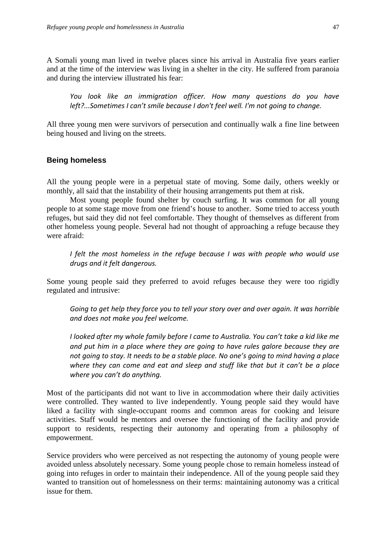A Somali young man lived in twelve places since his arrival in Australia five years earlier and at the time of the interview was living in a shelter in the city. He suffered from paranoia and during the interview illustrated his fear:

*You look like an immigration officer. How many questions do you have left?...Sometimes I can't smile because I don't feel well. I'm not going to change.*

All three young men were survivors of persecution and continually walk a fine line between being housed and living on the streets.

## **Being homeless**

All the young people were in a perpetual state of moving. Some daily, others weekly or monthly, all said that the instability of their housing arrangements put them at risk.

Most young people found shelter by couch surfing. It was common for all young people to at some stage move from one friend's house to another. Some tried to access youth refuges, but said they did not feel comfortable. They thought of themselves as different from other homeless young people. Several had not thought of approaching a refuge because they were afraid:

*I felt the most homeless in the refuge because I was with people who would use drugs and it felt dangerous.*

Some young people said they preferred to avoid refuges because they were too rigidly regulated and intrusive:

*Going to get help they force you to tell your story over and over again. It was horrible and does not make you feel welcome.*

*I looked after my whole family before I came to Australia. You can't take a kid like me and put him in a place where they are going to have rules galore because they are not going to stay. It needs to be a stable place. No one's going to mind having a place where they can come and eat and sleep and stuff like that but it can't be a place where you can't do anything.* 

Most of the participants did not want to live in accommodation where their daily activities were controlled. They wanted to live independently. Young people said they would have liked a facility with single-occupant rooms and common areas for cooking and leisure activities. Staff would be mentors and oversee the functioning of the facility and provide support to residents, respecting their autonomy and operating from a philosophy of empowerment.

Service providers who were perceived as not respecting the autonomy of young people were avoided unless absolutely necessary. Some young people chose to remain homeless instead of going into refuges in order to maintain their independence. All of the young people said they wanted to transition out of homelessness on their terms: maintaining autonomy was a critical issue for them.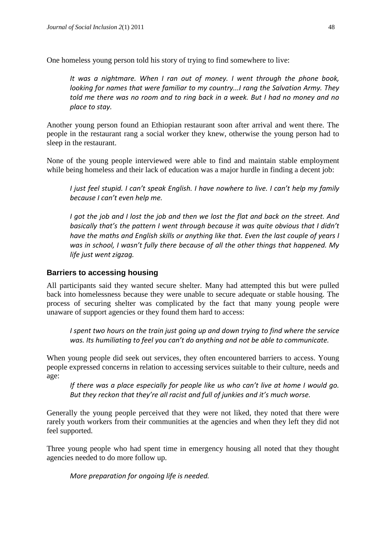One homeless young person told his story of trying to find somewhere to live:

*It was a nightmare. When I ran out of money. I went through the phone book, looking for names that were familiar to my country...I rang the Salvation Army. They told me there was no room and to ring back in a week. But I had no money and no place to stay.*

Another young person found an Ethiopian restaurant soon after arrival and went there. The people in the restaurant rang a social worker they knew, otherwise the young person had to sleep in the restaurant.

None of the young people interviewed were able to find and maintain stable employment while being homeless and their lack of education was a major hurdle in finding a decent job:

*I just feel stupid. I can't speak English. I have nowhere to live. I can't help my family because I can't even help me.*

*I got the job and I lost the job and then we lost the flat and back on the street. And basically that's the pattern I went through because it was quite obvious that I didn't have the maths and English skills or anything like that. Even the last couple of years I was in school, I wasn't fully there because of all the other things that happened. My life just went zigzag.*

## **Barriers to accessing housing**

All participants said they wanted secure shelter. Many had attempted this but were pulled back into homelessness because they were unable to secure adequate or stable housing. The process of securing shelter was complicated by the fact that many young people were unaware of support agencies or they found them hard to access:

*I spent two hours on the train just going up and down trying to find where the service was. Its humiliating to feel you can't do anything and not be able to communicate.*

When young people did seek out services, they often encountered barriers to access. Young people expressed concerns in relation to accessing services suitable to their culture, needs and age:

*If there was a place especially for people like us who can't live at home I would go. But they reckon that they're all racist and full of junkies and it's much worse.*

Generally the young people perceived that they were not liked, they noted that there were rarely youth workers from their communities at the agencies and when they left they did not feel supported.

Three young people who had spent time in emergency housing all noted that they thought agencies needed to do more follow up.

*More preparation for ongoing life is needed.*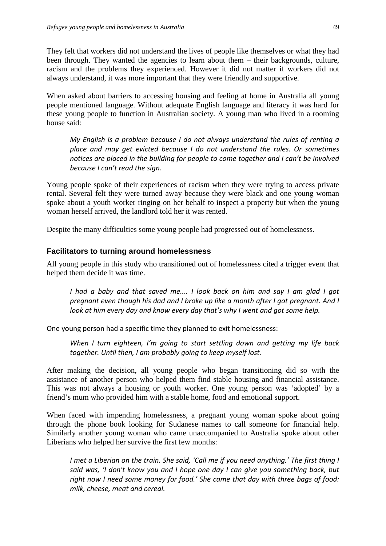They felt that workers did not understand the lives of people like themselves or what they had been through. They wanted the agencies to learn about them – their backgrounds, culture, racism and the problems they experienced. However it did not matter if workers did not always understand, it was more important that they were friendly and supportive.

When asked about barriers to accessing housing and feeling at home in Australia all young people mentioned language. Without adequate English language and literacy it was hard for these young people to function in Australian society. A young man who lived in a rooming house said:

*My English is a problem because I do not always understand the rules of renting a place and may get evicted because I do not understand the rules. Or sometimes notices are placed in the building for people to come together and I can't be involved because I can't read the sign.*

Young people spoke of their experiences of racism when they were trying to access private rental. Several felt they were turned away because they were black and one young woman spoke about a youth worker ringing on her behalf to inspect a property but when the young woman herself arrived, the landlord told her it was rented.

Despite the many difficulties some young people had progressed out of homelessness.

## **Facilitators to turning around homelessness**

All young people in this study who transitioned out of homelessness cited a trigger event that helped them decide it was time.

*I had a baby and that saved me.... I look back on him and say I am glad I got pregnant even though his dad and I broke up like a month after I got pregnant. And I look at him every day and know every day that's why I went and got some help.*

One young person had a specific time they planned to exit homelessness:

*When I turn eighteen, I'm going to start settling down and getting my life back together. Until then, I am probably going to keep myself lost.*

After making the decision, all young people who began transitioning did so with the assistance of another person who helped them find stable housing and financial assistance. This was not always a housing or youth worker. One young person was 'adopted' by a friend's mum who provided him with a stable home, food and emotional support.

When faced with impending homelessness, a pregnant young woman spoke about going through the phone book looking for Sudanese names to call someone for financial help. Similarly another young woman who came unaccompanied to Australia spoke about other Liberians who helped her survive the first few months:

*I met a Liberian on the train. She said, 'Call me if you need anything.' The first thing I said was, 'I don't know you and I hope one day I can give you something back, but right now I need some money for food.' She came that day with three bags of food: milk, cheese, meat and cereal.*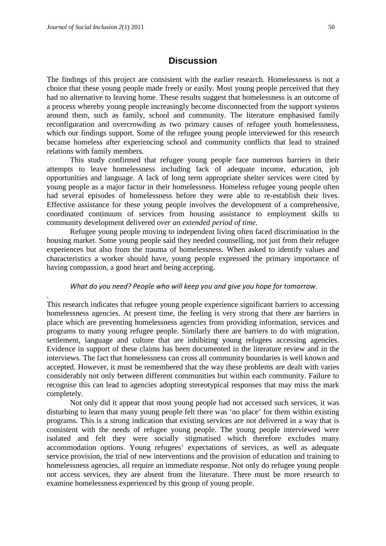.

## **Discussion**

The findings of this project are consistent with the earlier research. Homelessness is not a choice that these young people made freely or easily. Most young people perceived that they had no alternative to leaving home. These results suggest that homelessness is an outcome of a process whereby young people increasingly become disconnected from the support systems around them, such as family, school and community. The literature emphasised family reconfiguration and overcrowding as two primary causes of refugee youth homelessness, which our findings support. Some of the refugee young people interviewed for this research became homeless after experiencing school and community conflicts that lead to strained relations with family members.

This study confirmed that refugee young people face numerous barriers in their attempts to leave homelessness including lack of adequate income, education, job opportunities and language. A lack of long term appropriate shelter services were cited by young people as a major factor in their homelessness. Homeless refugee young people often had several episodes of homelessness before they were able to re-establish their lives. Effective assistance for these young people involves the development of a comprehensive, coordinated continuum of services from housing assistance to employment skills to community development delivered *over an extended period of time.*

Refugee young people moving to independent living often faced discrimination in the housing market. Some young people said they needed counselling, not just from their refugee experiences but also from the trauma of homelessness. When asked to identify values and characteristics a worker should have, young people expressed the primary importance of having compassion, a good heart and being accepting.

#### *What do you need? People who will keep you and give you hope for tomorrow.*

This research indicates that refugee young people experience significant barriers to accessing homelessness agencies. At present time, the feeling is very strong that there are barriers in place which are preventing homelessness agencies from providing information, services and programs to many young refugee people. Similarly there are barriers to do with migration, settlement, language and culture that are inhibiting young refugees accessing agencies. Evidence in support of these claims has been documented in the literature review and in the interviews. The fact that homelessness can cross all community boundaries is well known and accepted. However, it must be remembered that the way these problems are dealt with varies considerably not only between different communities but within each community. Failure to recognise this can lead to agencies adopting stereotypical responses that may miss the mark completely.

Not only did it appear that most young people had not accessed such services, it was disturbing to learn that many young people felt there was 'no place' for them within existing programs. This is a strong indication that existing services are not delivered in a way that is consistent with the needs of refugee young people. The young people interviewed were isolated and felt they were socially stigmatised which therefore excludes many accommodation options. Young refugees' expectations of services, as well as adequate service provision, the trial of new interventions and the provision of education and training to homelessness agencies, all require an immediate response. Not only do refugee young people not access services, they are absent from the literature. There must be more research to examine homelessness experienced by this group of young people.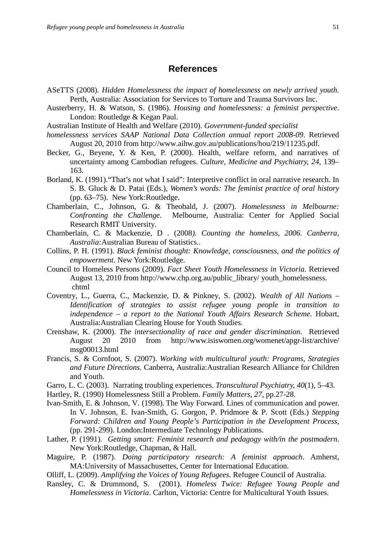## **References**

- ASeTTS (2008). *Hidden Homelessness the impact of homelessness on newly arrived youth.* Perth, Australia: Association for Services to Torture and Trauma Survivors Inc.
- Austerberry, H. & Watson, S. (1986). *Housing and homelessness: a feminist perspective*. London: Routledge & Kegan Paul.
- Australian Institute of Health and Welfare (2010). *Government-funded specialist*
- *homelessness services SAAP National Data Collection annual report 2008-09*. Retrieved August 20, 2010 from [http://www.aihw.gov.au/publications/hou/219/11235.pdf.](http://www.aihw.gov.au/publications/hou/219/11235.pdf)
- Becker, G., Beyene, Y. & Ken, P. (2000). Health, welfare reform, and narratives of uncertainty among Cambodian refugees. *Culture, Medicine and Psychiatry, 24*, 139– 163.
- Borland, K. (1991). "That's not what I said": Interpretive conflict in oral narrative research. In S. B. Gluck & D. Patai (Eds.), *Women's words: The feminist practice of oral history*  (pp. 63–75). New York:Routledge.
- Chamberlain, C., Johnson, G. & Theobald, J. (2007). *Homelessness in Melbourne: Confronting the Challenge.* Melbourne, Australia: Center for Applied Social Research RMIT University.
- Chamberlain, C. & Mackenzie, D . (2008*). [Counting the homeless, 2006.](http://search.arrow.edu.au/main/redirect_to_title?identifier=oai%3Aarrow.nla.gov.au%3A122096070574441) Canberra, Australia:*Australian Bureau of Statistics..
- Collins, P. H. (1991). *Black feminist thought: Knowledge, consciousness, and the politics of empowerment.* New York:Routledge.
- Council to Homeless Persons (2009). *Fact Sheet Youth Homelessness in Victoria.* Retrieved August 13, 2010 from [http://www.chp.org.au/public\\_library/](http://www.chp.org.au/public_library/youth_homelessness.chtml) youth\_homelessness. chtml
- Coventry, L., Guerra, C., Mackenzie, D. & Pinkney, S. (2002). *Wealth of All Nations – Identification of strategies to assist refugee young people in transition to independence – a report to the National Youth Affairs Research Scheme*. Hobart, Australia:Australian Clearing House for Youth Studies.
- Crenshaw, K. (2000). *The intersectionality of race and gender discrimination*. Retrieved August 20 2010 from <http://www.isiswomen.org/womenet/apgr-list/archive/> msg00013.html
- Francis, S. & Cornfoot, S. (2007). *Working with multicultural youth: Programs, Strategies and Future Directions.* Canberra, Australia:Australian Research Alliance for Children and Youth.
- Garro, L. C. (2003). Narrating troubling experiences. *Transcultural Psychiatry, 40*(1), 5–43.
- Hartley, R. (1990) Homelessness Still a Problem. *Family Matters*, *27*, pp.27-28.
- Ivan-Smith, E. & Johnson, V. (1998). The Way Forward. Lines of communication and power. In V. Johnson, E. Ivan-Smith, G. Gorgon, P. Pridmore & P. Scott (Eds.) *Stepping Forward: Children and Young People's Participation in the Development Process,*  (pp. 291-299). London:Intermediate Technology Publications.
- Lather, P. (1991). *Getting smart: Feminist research and pedagogy with/in the postmodern*. New York:Routledge, Chapman, & Hall.
- Maguire, P. (1987). *Doing participatory research: A feminist approach*. Amherst, MA:University of Massachusettes, Center for International Education.
- Olliff, L. (2009). *Amplifying the Voices of Young Refugees.* Refugee Council of Australia.
- Ransley, C. & Drummond, S. (2001). *Homeless Twice: Refugee Young People and Homelessness in Victoria.* Carlton, Victoria: Centre for Multicultural Youth Issues.